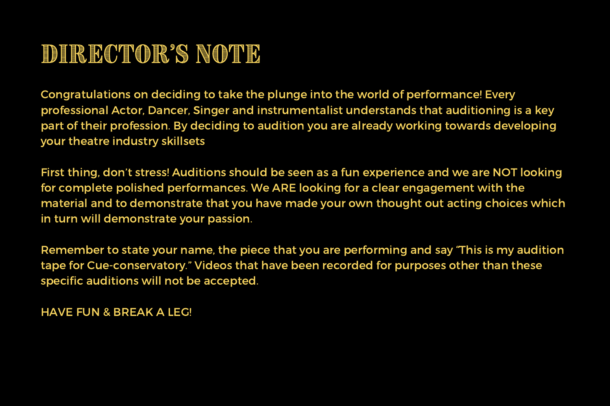## DIRECTOR'S NOTE

Congratulations on deciding to take the plunge into the world of performance! Every professional Actor, Dancer, Singer and instrumentalist understands that auditioning is a key part of their profession. By deciding to audition you are already working towards developing your theatre industry skillsets

First thing, don't stress! Auditions should be seen as a fun experience and we are NOT looking for complete polished performances. We ARE looking for a clear engagement with the material and to demonstrate that you have made your own thought out acting choices which in turn will demonstrate your passion.

Remember to state your name, the piece that you are performing and say "This is my audition tape for Cue-conservatory." Videos that have been recorded for purposes other than these specific auditions will not be accepted.

HAVE FUN & BREAK A LEG!